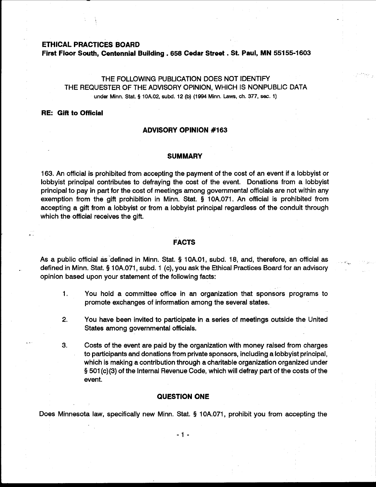## **ETHICAL PRACTICES BOARD**

**First Floor South, Centennial Building** . **658 Cedar Street** . **St. Paul, MN 551 55-1 603** 

# THE FOLLOWING PUBLICATION DOES NOT IDENTIFY THE REQUESTER OF THE ADVISORY OPINION, WHICH IS NONPUBLIC DATA under **Minn.** Stat. **g 10A.02, subd. 12 (b) (1994 Minn. Laws, ch. 377, sec. 1)**

## **RE: Gift to Official**

## **ADVISORY OPINION #I63**

#### **SUMMARY**

163. An official is prohibited from accepting the payment of the cost of an event if a lobbyist or lobbyist principal contributes to defraying the cost of the event. Donations from a lobbyist principal to pay in part for the cost of meetings among governmental officials are not within any exemption from the gift prohibition in Minn. Stat. **Q** 10A.071. An official is prohibited from accepting a gift from a lobbyist or from a lobbyist principal regardless of the conduit through which the official receives the gift.

## **FACTS**

As a public official as defined in Minn. Stat. § 10A.01, subd. 18, and, therefore, an official as defined in Minn. Stat. § 10A.071, subd. 1 (c), you ask the Ethical Practices Board for an advisory opinion based upon your statement of the following facts:

- 1. You hold a committee office in an organization that sponsors programs to promote exchanges of information among the several states.
- **2.** You have been invited to participate in a series of meetings outside the United States among governmental officials.
- 3. Costs of the event are paid by the organization with money raised from charges to participants and donations from private sponsors, including a lobbyist principal, which is making a contribution through a charitable organization organized under **Q** 501 (c)(3) of the Internal Revenue Code, which will defray part of the costs of the event.

#### **QUESTION ONE**

Does Minnesota law, specifically new Minn. Stat. **Q** 10A.071, prohibit you from accepting the

 $-1 -$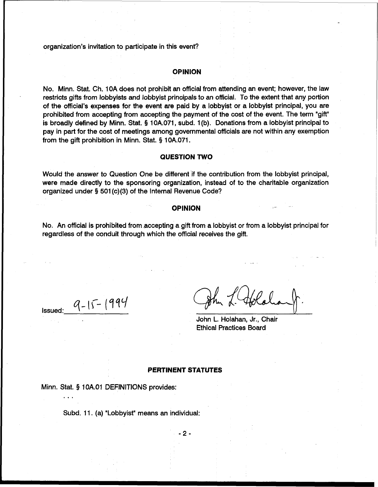organization's invitation to participate in this event?

## **OPINION**

No. Minn. Stat. Ch. 10A does not prohibit an official from attending an event; however, the law restricts gifts from lobbyists and lobbyist principals to an official. To the extent that any portion of the official's expenses for the event are paid by a lobbyist or a lobbyist principal, you are prohibited from accepting from accepting the payment of the cost of the event. The term "gift" is broadly defined by Minn. Stat. § 10A.071, subd. 1 (b). Donations from a lobbyist principal to pay in part for the cost of meetings among governmental officials are not within any exemption from the gift prohibition in Minn. Stat. **Q** 10A.071.

## **QUESTION TWO**

Would the answer to Question One be different if the contribution from the lobbyist principal, were made directly to the sponsoring organization, instead of to the charitable organization organized under § 501 (c)(3) of the Internal Revenue Code?

### **OPINION**

No. An official is prohibited from accepting a gift from a lobbyist or from a lobbyist principal for regardless of the conduit through which the official receives the gift.

 $\ldots$ 

Issued:  $9-15-1994$ <br>Issued:  $9-15-1994$ <br>Iohn L. Holahan, Jr., Chair

Ethical Practices Board

#### **PERTINENT STATUTES**

Minn. Stat. § 1 OA.O1 DEFINITIONS provides:

Subd. 11. (a) "Lobbyist" means an individual:

 $-2-$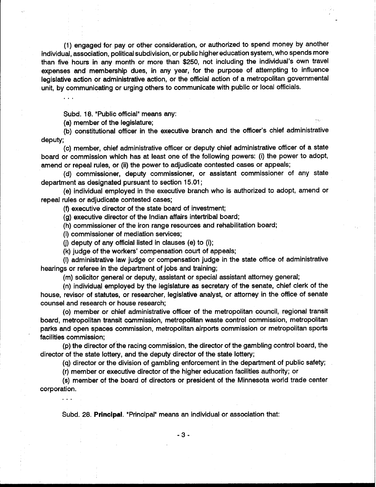(1) engaged for pay or other consideration, or authorized to spend money by another individual, association, political subdivision, or public higher education system, who spends more than five hours in any month or more than \$250, not including the individual's own travel expenses and membership dues, in any year, for the purpose of attempting to influence legislative action or administrative action, or the official action of a metropolitan governmental unit, by communicating or urging others to communicate with public or local officials.

Subd. 18. "Public official" means any:

(a) member of the legislature;

(b) constitutional officer in the executive branch and the officer's chief administrative deputy;

(c) member, chief administrative officer or deputy chief administrative officer of a state board or commission which has at least one of the following powers: (i) the power to adopt, amend or repeal rules, or (ii) the power to adjudicate contested cases or appeals;

(d) commissioner, deputy commissioner, or assistant commissioner of any state department as designated pursuant to section 15.01 ;

(e) individual employed in the executive branch who is authorized to adopt, amend or repeal rules or adjudicate contested cases;

(f) executive director of the state board of investment;

(g) executive director of the Indian affairs intertribal board;

(h) commissioner of the iron range resources and rehabilitation board;

(i) commissioner of mediation services;

(i) deputy of any official listed in clauses (e) to (i);

(k) judge of the workers' compensation court of appeals;

(I) administrative law judge or compensation judge in the state office of administrative hearings or referee in the department of jobs and training;

(m) solicitor general or deputy, assistant or special assistant attorney general;

(n) individual employed by the legislature as secretary of the senate, chief clerk of the house, revisor of statutes, or researcher, legislative analyst, or attorney in the office of senate counsel and research or house research;

(0) member or chief administrative officer of the metropolitan council, regional transit board, metropolitan transit canmission, metropolitan waste control commission, metropolitan parks and open spaces commission, metropolitan airports commission or metropolitan sports facilities commission;

(p) the director of the racing commission, the director of the gambling control board, the director of the state lottery, and the deputy director of the state lottery;

(q) director or the division of gambling enforcement in the department of public safety;

(r) member or executive director of the higher education facilities authority; or

(s) member of the board of directors or president of the Minnesota world trade center corporation.

Subd. 28. Principal. "Principal" means an individual or association that: